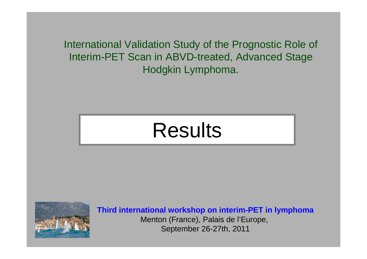International Validation Study of the Prognostic Role of Interim-PET Scan in ABVD-treated, Advanced Stage Hodgkin Lymphoma.

# Results



**Third international workshop on interim-PET in lymphoma**Menton (France), Palais de l'Europe, September 26-27th, 2011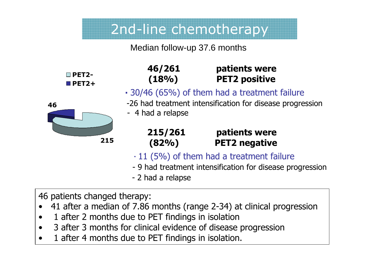### 2nd-line chemotherapy

#### Median follow-up 37.6 months

| $\blacksquare$ PET2- |
|----------------------|
| $\P$ PET2+           |

### **46/261 patients were (18%) PET2 positive**

**·** 30/46 (65%) of them had a treatment failure



- -26 had treatment intensification for disease progression
- 4 had a relapse

| 215/261 | patients were        |
|---------|----------------------|
| (82%)   | <b>PET2 negative</b> |

- **·** 11 (5%) of them had a treatment failure
- 9 had treatment intensification for disease progression<br>- 2 had a relanse
- 2 had a relapse

46 patients changed therapy:

- 41 after a median of 7.86 months (range 2-34) at clinical progression<br>1 after 2 months due to PET findings in isolation •
- •1 after 2 months due to PET findings in isolation
- $\bullet$ 3 after 3 months for clinical evidence of disease progression
- •1 after 4 months due to PET findings in isolation.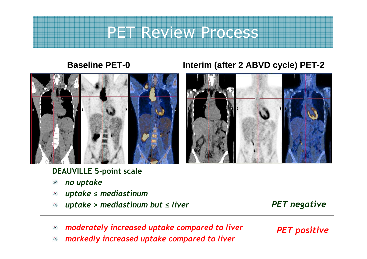### PET Review Process



#### **DEAUVILLE 5-point scale**

- *no uptake* 灤
- *uptake ≤ mediastinum*灤
- *uptake > mediastinum but ≤ liver* 灤

#### *PET negative*

- *moderately increased uptake compared to liver* 潫
- *markedly increased uptake compared to liver*濼

*PET positive*



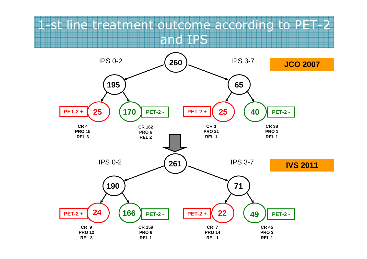### 1-st line treatment outcome according to PET-2 and IPS

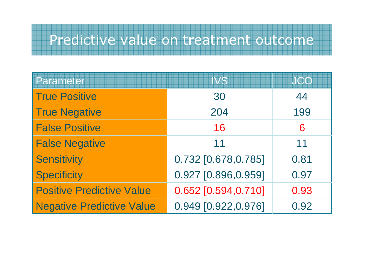### Predictive value on treatment outcome

| <b>Parameter</b>                 | <b>IVS</b>          | <b>JCO</b> |
|----------------------------------|---------------------|------------|
| <b>True Positive</b>             | 30                  | 44         |
| <b>True Negative</b>             | 204                 | 199        |
| <b>False Positive</b>            | 16                  | 6          |
| <b>False Negative</b>            | 11                  | 11         |
| <b>Sensitivity</b>               | 0.732 [0.678,0.785] | 0.81       |
| <b>Specificity</b>               | 0.927 [0.896,0.959] | 0.97       |
| <b>Positive Predictive Value</b> | 0.652 [0.594,0.710] | 0.93       |
| <b>Negative Predictive Value</b> | 0.949 [0.922,0.976] | 0.92       |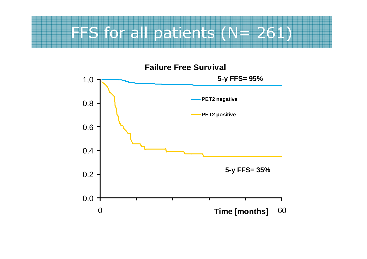## FFS for all patients (N= 261)

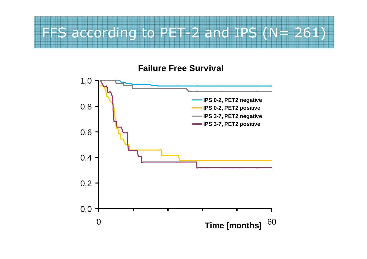# FFS according to PET-2 and IPS (N= 261)